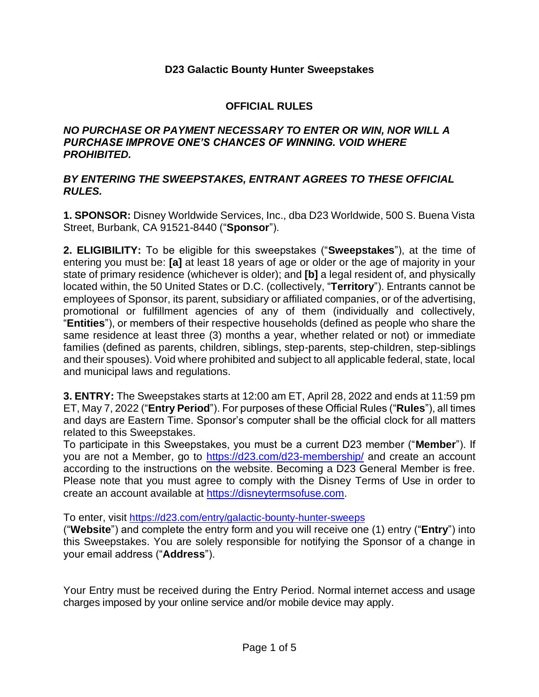## **D23 Galactic Bounty Hunter Sweepstakes**

## **OFFICIAL RULES**

## *NO PURCHASE OR PAYMENT NECESSARY TO ENTER OR WIN, NOR WILL A PURCHASE IMPROVE ONE'S CHANCES OF WINNING. VOID WHERE PROHIBITED.*

## *BY ENTERING THE SWEEPSTAKES, ENTRANT AGREES TO THESE OFFICIAL RULES.*

**1. SPONSOR:** Disney Worldwide Services, Inc., dba D23 Worldwide, 500 S. Buena Vista Street, Burbank, CA 91521-8440 ("**Sponsor**").

**2. ELIGIBILITY:** To be eligible for this sweepstakes ("**Sweepstakes**"), at the time of entering you must be: **[a]** at least 18 years of age or older or the age of majority in your state of primary residence (whichever is older); and **[b]** a legal resident of, and physically located within, the 50 United States or D.C. (collectively, "**Territory**"). Entrants cannot be employees of Sponsor, its parent, subsidiary or affiliated companies, or of the advertising, promotional or fulfillment agencies of any of them (individually and collectively, "**Entities**"), or members of their respective households (defined as people who share the same residence at least three (3) months a year, whether related or not) or immediate families (defined as parents, children, siblings, step-parents, step-children, step-siblings and their spouses). Void where prohibited and subject to all applicable federal, state, local and municipal laws and regulations.

**3. ENTRY:** The Sweepstakes starts at 12:00 am ET, April 28, 2022 and ends at 11:59 pm ET, May 7, 2022 ("**Entry Period**"). For purposes of these Official Rules ("**Rules**"), all times and days are Eastern Time. Sponsor's computer shall be the official clock for all matters related to this Sweepstakes.

To participate in this Sweepstakes, you must be a current D23 member ("**Member**"). If you are not a Member, go to<https://d23.com/d23-membership/> and create an account according to the instructions on the website. Becoming a D23 General Member is free. Please note that you must agree to comply with the Disney Terms of Use in order to create an account available at [https://disneytermsofuse.com.](https://disneytermsofuse.com/)

To enter, visit https://d23.com/entry/galactic-bounty-hunter-sweeps

("**Website**") and complete the entry form and you will receive one (1) entry ("**Entry**") into this Sweepstakes. You are solely responsible for notifying the Sponsor of a change in your email address ("**Address**").

Your Entry must be received during the Entry Period. Normal internet access and usage charges imposed by your online service and/or mobile device may apply.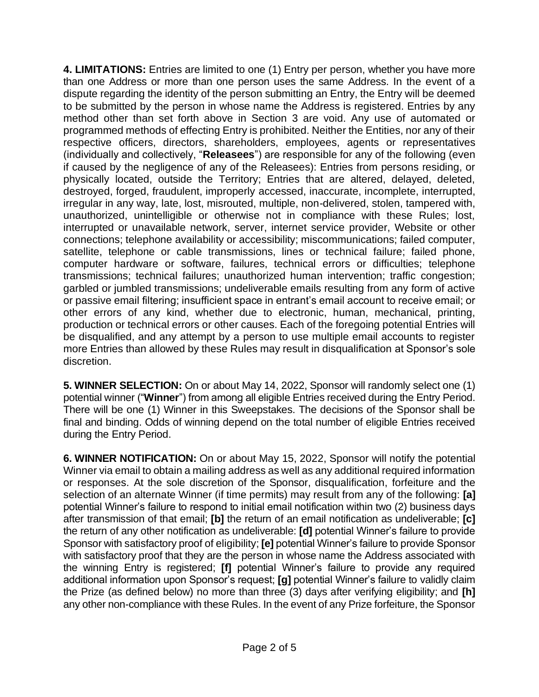**4. LIMITATIONS:** Entries are limited to one (1) Entry per person, whether you have more than one Address or more than one person uses the same Address. In the event of a dispute regarding the identity of the person submitting an Entry, the Entry will be deemed to be submitted by the person in whose name the Address is registered. Entries by any method other than set forth above in Section 3 are void. Any use of automated or programmed methods of effecting Entry is prohibited. Neither the Entities, nor any of their respective officers, directors, shareholders, employees, agents or representatives (individually and collectively, "**Releasees**") are responsible for any of the following (even if caused by the negligence of any of the Releasees): Entries from persons residing, or physically located, outside the Territory; Entries that are altered, delayed, deleted, destroyed, forged, fraudulent, improperly accessed, inaccurate, incomplete, interrupted, irregular in any way, late, lost, misrouted, multiple, non-delivered, stolen, tampered with, unauthorized, unintelligible or otherwise not in compliance with these Rules; lost, interrupted or unavailable network, server, internet service provider, Website or other connections; telephone availability or accessibility; miscommunications; failed computer, satellite, telephone or cable transmissions, lines or technical failure; failed phone, computer hardware or software, failures, technical errors or difficulties; telephone transmissions; technical failures; unauthorized human intervention; traffic congestion; garbled or jumbled transmissions; undeliverable emails resulting from any form of active or passive email filtering; insufficient space in entrant's email account to receive email; or other errors of any kind, whether due to electronic, human, mechanical, printing, production or technical errors or other causes. Each of the foregoing potential Entries will be disqualified, and any attempt by a person to use multiple email accounts to register more Entries than allowed by these Rules may result in disqualification at Sponsor's sole discretion.

**5. WINNER SELECTION:** On or about May 14, 2022, Sponsor will randomly select one (1) potential winner ("**Winner**") from among all eligible Entries received during the Entry Period. There will be one (1) Winner in this Sweepstakes. The decisions of the Sponsor shall be final and binding. Odds of winning depend on the total number of eligible Entries received during the Entry Period.

**6. WINNER NOTIFICATION:** On or about May 15, 2022, Sponsor will notify the potential Winner via email to obtain a mailing address as well as any additional required information or responses. At the sole discretion of the Sponsor, disqualification, forfeiture and the selection of an alternate Winner (if time permits) may result from any of the following: **[a]**  potential Winner's failure to respond to initial email notification within two (2) business days after transmission of that email; **[b]** the return of an email notification as undeliverable; **[c]** the return of any other notification as undeliverable: **[d]** potential Winner's failure to provide Sponsor with satisfactory proof of eligibility; **[e]** potential Winner's failure to provide Sponsor with satisfactory proof that they are the person in whose name the Address associated with the winning Entry is registered; **[f]** potential Winner's failure to provide any required additional information upon Sponsor's request; **[g]** potential Winner's failure to validly claim the Prize (as defined below) no more than three (3) days after verifying eligibility; and **[h]** any other non-compliance with these Rules. In the event of any Prize forfeiture, the Sponsor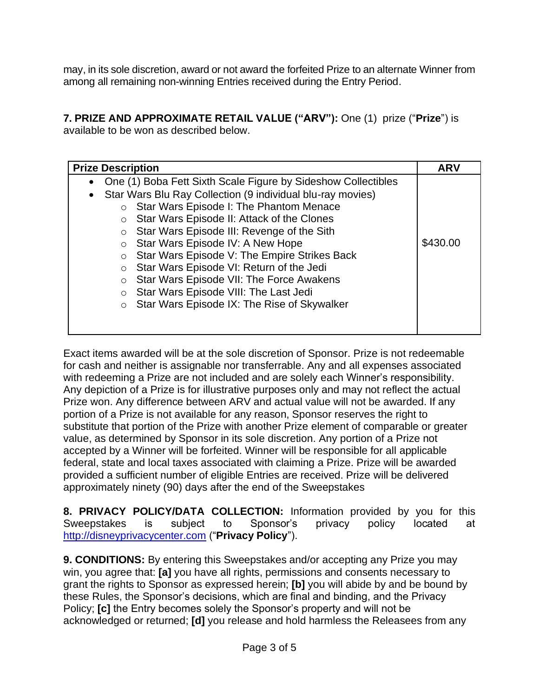may, in its sole discretion, award or not award the forfeited Prize to an alternate Winner from among all remaining non-winning Entries received during the Entry Period.

**7. PRIZE AND APPROXIMATE RETAIL VALUE ("ARV"):** One (1) prize ("**Prize**") is available to be won as described below.

| <b>Prize Description</b>                                                                               |                                                                                                                                                                                                                                                                                                                                                                                                                                                                                                                                        | <b>ARV</b> |
|--------------------------------------------------------------------------------------------------------|----------------------------------------------------------------------------------------------------------------------------------------------------------------------------------------------------------------------------------------------------------------------------------------------------------------------------------------------------------------------------------------------------------------------------------------------------------------------------------------------------------------------------------------|------------|
| ٠<br>$\bullet$<br>$\circ$<br>$\circ$<br>$\circ$<br>$\circ$<br>$\circ$<br>$\circ$<br>$\circ$<br>$\circ$ | One (1) Boba Fett Sixth Scale Figure by Sideshow Collectibles<br>Star Wars Blu Ray Collection (9 individual blu-ray movies)<br>Star Wars Episode I: The Phantom Menace<br>Star Wars Episode II: Attack of the Clones<br>Star Wars Episode III: Revenge of the Sith<br>Star Wars Episode IV: A New Hope<br>Star Wars Episode V: The Empire Strikes Back<br>Star Wars Episode VI: Return of the Jedi<br>Star Wars Episode VII: The Force Awakens<br>Star Wars Episode VIII: The Last Jedi<br>Star Wars Episode IX: The Rise of Skywalker | \$430.00   |

Exact items awarded will be at the sole discretion of Sponsor. Prize is not redeemable for cash and neither is assignable nor transferrable. Any and all expenses associated with redeeming a Prize are not included and are solely each Winner's responsibility. Any depiction of a Prize is for illustrative purposes only and may not reflect the actual Prize won. Any difference between ARV and actual value will not be awarded. If any portion of a Prize is not available for any reason, Sponsor reserves the right to substitute that portion of the Prize with another Prize element of comparable or greater value, as determined by Sponsor in its sole discretion. Any portion of a Prize not accepted by a Winner will be forfeited. Winner will be responsible for all applicable federal, state and local taxes associated with claiming a Prize. Prize will be awarded provided a sufficient number of eligible Entries are received. Prize will be delivered approximately ninety (90) days after the end of the Sweepstakes

**8. PRIVACY POLICY/DATA COLLECTION:** Information provided by you for this Sweepstakes is subject to Sponsor's privacy policy located at [http://disneyprivacycenter.com](http://disneyprivacycenter.com/) ("**Privacy Policy**").

**9. CONDITIONS:** By entering this Sweepstakes and/or accepting any Prize you may win, you agree that: **[a]** you have all rights, permissions and consents necessary to grant the rights to Sponsor as expressed herein; **[b]** you will abide by and be bound by these Rules, the Sponsor's decisions, which are final and binding, and the Privacy Policy; **[c]** the Entry becomes solely the Sponsor's property and will not be acknowledged or returned; **[d]** you release and hold harmless the Releasees from any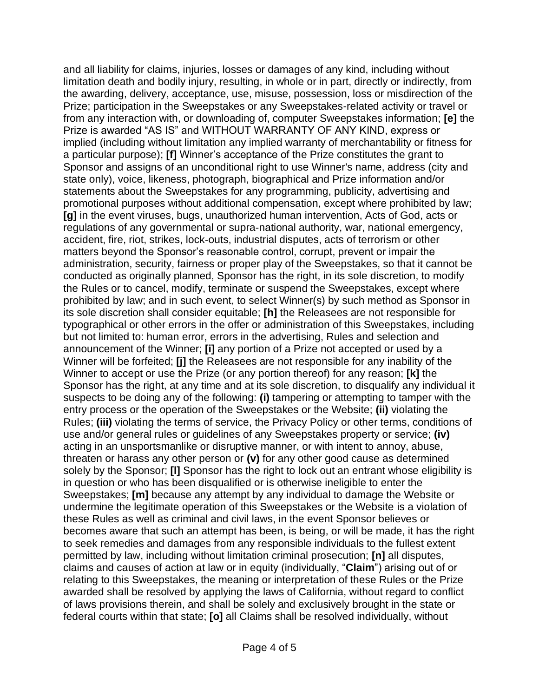and all liability for claims, injuries, losses or damages of any kind, including without limitation death and bodily injury, resulting, in whole or in part, directly or indirectly, from the awarding, delivery, acceptance, use, misuse, possession, loss or misdirection of the Prize; participation in the Sweepstakes or any Sweepstakes-related activity or travel or from any interaction with, or downloading of, computer Sweepstakes information; **[e]** the Prize is awarded "AS IS" and WITHOUT WARRANTY OF ANY KIND, express or implied (including without limitation any implied warranty of merchantability or fitness for a particular purpose); **[f]** Winner's acceptance of the Prize constitutes the grant to Sponsor and assigns of an unconditional right to use Winner's name, address (city and state only), voice, likeness, photograph, biographical and Prize information and/or statements about the Sweepstakes for any programming, publicity, advertising and promotional purposes without additional compensation, except where prohibited by law; **[g]** in the event viruses, bugs, unauthorized human intervention, Acts of God, acts or regulations of any governmental or supra-national authority, war, national emergency, accident, fire, riot, strikes, lock-outs, industrial disputes, acts of terrorism or other matters beyond the Sponsor's reasonable control, corrupt, prevent or impair the administration, security, fairness or proper play of the Sweepstakes, so that it cannot be conducted as originally planned, Sponsor has the right, in its sole discretion, to modify the Rules or to cancel, modify, terminate or suspend the Sweepstakes, except where prohibited by law; and in such event, to select Winner(s) by such method as Sponsor in its sole discretion shall consider equitable; **[h]** the Releasees are not responsible for typographical or other errors in the offer or administration of this Sweepstakes, including but not limited to: human error, errors in the advertising, Rules and selection and announcement of the Winner; **[i]** any portion of a Prize not accepted or used by a Winner will be forfeited; **[j]** the Releasees are not responsible for any inability of the Winner to accept or use the Prize (or any portion thereof) for any reason; **[k]** the Sponsor has the right, at any time and at its sole discretion, to disqualify any individual it suspects to be doing any of the following: **(i)** tampering or attempting to tamper with the entry process or the operation of the Sweepstakes or the Website; **(ii)** violating the Rules; **(iii)** violating the terms of service, the Privacy Policy or other terms, conditions of use and/or general rules or guidelines of any Sweepstakes property or service; **(iv)** acting in an unsportsmanlike or disruptive manner, or with intent to annoy, abuse, threaten or harass any other person or **(v)** for any other good cause as determined solely by the Sponsor; **[l]** Sponsor has the right to lock out an entrant whose eligibility is in question or who has been disqualified or is otherwise ineligible to enter the Sweepstakes; **[m]** because any attempt by any individual to damage the Website or undermine the legitimate operation of this Sweepstakes or the Website is a violation of these Rules as well as criminal and civil laws, in the event Sponsor believes or becomes aware that such an attempt has been, is being, or will be made, it has the right to seek remedies and damages from any responsible individuals to the fullest extent permitted by law, including without limitation criminal prosecution; **[n]** all disputes, claims and causes of action at law or in equity (individually, "**Claim**") arising out of or relating to this Sweepstakes, the meaning or interpretation of these Rules or the Prize awarded shall be resolved by applying the laws of California, without regard to conflict of laws provisions therein, and shall be solely and exclusively brought in the state or federal courts within that state; **[o]** all Claims shall be resolved individually, without